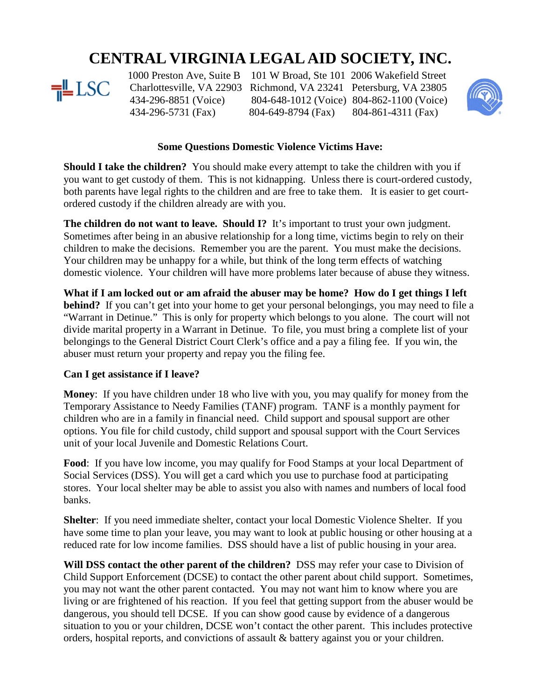## **CENTRAL VIRGINIA LEGAL AID SOCIETY, INC.**



434-296-5731 (Fax) 804-649-8794 (Fax) 804-861-4311 (Fax)

1000 Preston Ave, Suite B 101 W Broad, Ste 101 2006 Wakefield Street<br>  $\frac{1}{2}$  LSC Charlottesville, VA 22903 Richmond, VA 23241 Petersburg, VA 23805 Charlottesville, VA 22903 Richmond, VA 23241 Petersburg, VA 23805 434-296-8851 (Voice) 804-648-1012 (Voice) 804-862-1100 (Voice)



## **Some Questions Domestic Violence Victims Have:**

**Should I take the children?** You should make every attempt to take the children with you if you want to get custody of them. This is not kidnapping. Unless there is court-ordered custody, both parents have legal rights to the children and are free to take them. It is easier to get courtordered custody if the children already are with you.

**The children do not want to leave. Should I?** It's important to trust your own judgment. Sometimes after being in an abusive relationship for a long time, victims begin to rely on their children to make the decisions. Remember you are the parent. You must make the decisions. Your children may be unhappy for a while, but think of the long term effects of watching domestic violence. Your children will have more problems later because of abuse they witness.

**What if I am locked out or am afraid the abuser may be home? How do I get things I left behind?** If you can't get into your home to get your personal belongings, you may need to file a "Warrant in Detinue." This is only for property which belongs to you alone. The court will not divide marital property in a Warrant in Detinue. To file, you must bring a complete list of your belongings to the General District Court Clerk's office and a pay a filing fee. If you win, the abuser must return your property and repay you the filing fee.

## **Can I get assistance if I leave?**

**Money**: If you have children under 18 who live with you, you may qualify for money from the Temporary Assistance to Needy Families (TANF) program. TANF is a monthly payment for children who are in a family in financial need. Child support and spousal support are other options. You file for child custody, child support and spousal support with the Court Services unit of your local Juvenile and Domestic Relations Court.

**Food**: If you have low income, you may qualify for Food Stamps at your local Department of Social Services (DSS). You will get a card which you use to purchase food at participating stores. Your local shelter may be able to assist you also with names and numbers of local food banks.

**Shelter**: If you need immediate shelter, contact your local Domestic Violence Shelter. If you have some time to plan your leave, you may want to look at public housing or other housing at a reduced rate for low income families. DSS should have a list of public housing in your area.

**Will DSS contact the other parent of the children?** DSS may refer your case to Division of Child Support Enforcement (DCSE) to contact the other parent about child support. Sometimes, you may not want the other parent contacted. You may not want him to know where you are living or are frightened of his reaction. If you feel that getting support from the abuser would be dangerous, you should tell DCSE. If you can show good cause by evidence of a dangerous situation to you or your children, DCSE won't contact the other parent. This includes protective orders, hospital reports, and convictions of assault & battery against you or your children.